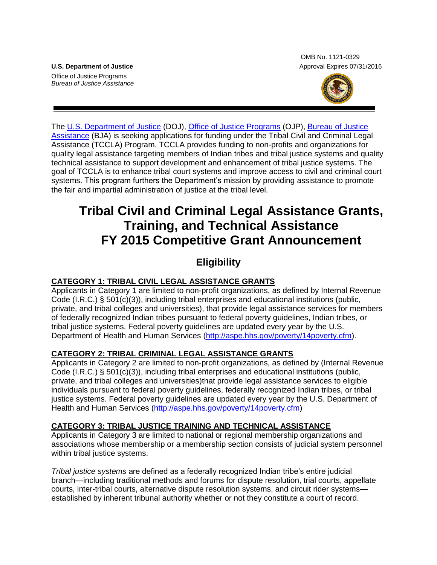Office of Justice Programs *Bureau of Justice Assistance*

OMB No. 1121-0329 **U.S. Department of Justice** Approval Expires 07/31/2016



The [U.S. Department of Justice](http://www.justice.gov/) (DOJ), [Office of Justice Programs](http://www.ojp.gov/) (OJP), [Bureau of Justice](https://www.bja.gov/)  [Assistance](https://www.bja.gov/) (BJA) is seeking applications for funding under the Tribal Civil and Criminal Legal Assistance (TCCLA) Program. TCCLA provides funding to non-profits and organizations for quality legal assistance targeting members of Indian tribes and tribal justice systems and quality technical assistance to support development and enhancement of tribal justice systems. The goal of TCCLA is to enhance tribal court systems and improve access to civil and criminal court systems. This program furthers the Department's mission by providing assistance to promote the fair and impartial administration of justice at the tribal level.

# **Tribal Civil and Criminal Legal Assistance Grants, Training, and Technical Assistance FY 2015 Competitive Grant Announcement**

# **Eligibility**

## **CATEGORY 1: TRIBAL CIVIL LEGAL ASSISTANCE GRANTS**

Applicants in Category 1 are limited to non-profit organizations, as defined by Internal Revenue Code (I.R.C.) § 501(c)(3)), including tribal enterprises and educational institutions (public, private, and tribal colleges and universities), that provide legal assistance services for members of federally recognized Indian tribes pursuant to federal poverty guidelines, Indian tribes, or tribal justice systems. Federal poverty guidelines are updated every year by the U.S. Department of Health and Human Services [\(http://aspe.hhs.gov/poverty/14poverty.cfm\)](http://aspe.hhs.gov/poverty/14poverty.cfm).

## **CATEGORY 2: TRIBAL CRIMINAL LEGAL ASSISTANCE GRANTS**

Applicants in Category 2 are limited to non-profit organizations, as defined by (Internal Revenue Code (I.R.C.) § 501(c)(3)), including tribal enterprises and educational institutions (public, private, and tribal colleges and universities)that provide legal assistance services to eligible individuals pursuant to federal poverty guidelines, federally recognized Indian tribes, or tribal justice systems. Federal poverty guidelines are updated every year by the U.S. Department of Health and Human Services [\(http://aspe.hhs.gov/poverty/14poverty.cfm\)](http://aspe.hhs.gov/poverty/14poverty.cfm)

## **CATEGORY 3: TRIBAL JUSTICE TRAINING AND TECHNICAL ASSISTANCE**

Applicants in Category 3 are limited to national or regional membership organizations and associations whose membership or a membership section consists of judicial system personnel within tribal justice systems.

*Tribal justice systems* are defined as a federally recognized Indian tribe's entire judicial branch—including traditional methods and forums for dispute resolution, trial courts, appellate courts, inter-tribal courts, alternative dispute resolution systems, and circuit rider systems established by inherent tribunal authority whether or not they constitute a court of record.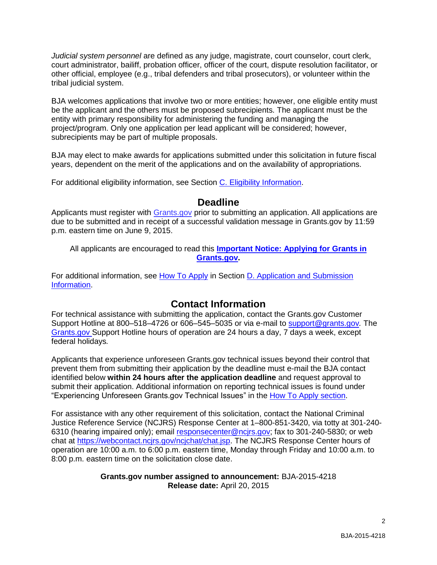*Judicial system personnel* are defined as any judge, magistrate, court counselor, court clerk, court administrator, bailiff, probation officer, officer of the court, dispute resolution facilitator, or other official, employee (e.g., tribal defenders and tribal prosecutors), or volunteer within the tribal judicial system.

BJA welcomes applications that involve two or more entities; however, one eligible entity must be the applicant and the others must be proposed subrecipients. The applicant must be the entity with primary responsibility for administering the funding and managing the project/program. Only one application per lead applicant will be considered; however, subrecipients may be part of multiple proposals.

BJA may elect to make awards for applications submitted under this solicitation in future fiscal years, dependent on the merit of the applications and on the availability of appropriations.

For additional eligibility information, see Section [C. Eligibility Information.](#page-9-0)

## **Deadline**

Applicants must register with [Grants.gov](http://www.grants.gov/web/grants/home.html) prior to submitting an application. All applications are due to be submitted and in receipt of a successful validation message in Grants.gov by 11:59 p.m. eastern time on June 9, 2015.

All applicants are encouraged to read this **[Important Notice: Applying for Grants in](http://ojp.gov/funding/Apply/Grants-govInfo.htm)  [Grants.gov.](http://ojp.gov/funding/Apply/Grants-govInfo.htm)**

For additional information, see [How To Apply](#page-18-0) in Section [D. Application and Submission](#page-9-1)  [Information.](#page-9-1)

## **Contact Information**

For technical assistance with submitting the application, contact the Grants.gov Customer Support Hotline at 800–518–4726 or 606–545–5035 or via e-mail to [support@grants.gov](mailto:support@grants.gov)*.* The [Grants.gov](http://www.grants.gov/web/grants/home.html) Support Hotline hours of operation are 24 hours a day, 7 days a week, except federal holidays*.* 

Applicants that experience unforeseen Grants.gov technical issues beyond their control that prevent them from submitting their application by the deadline must e-mail the BJA contact identified below **within 24 hours after the application deadline** and request approval to submit their application. Additional information on reporting technical issues is found under "Experiencing Unforeseen Grants.gov Technical Issues" in the [How To Apply](#page-18-0) section.

For assistance with any other requirement of this solicitation, contact the National Criminal Justice Reference Service (NCJRS) Response Center at 1–800-851-3420, via totty at 301-240 6310 (hearing impaired only); email [responsecenter@ncjrs.gov;](mailto:responsecenter@ncjrs.gov) fax to 301-240-5830; or web chat at [https://webcontact.ncjrs.gov/ncjchat/chat.jsp.](https://webcontact.ncjrs.gov/ncjchat/chat.jsp) The NCJRS Response Center hours of operation are 10:00 a.m. to 6:00 p.m. eastern time, Monday through Friday and 10:00 a.m. to 8:00 p.m. eastern time on the solicitation close date.

#### **Grants.gov number assigned to announcement:** BJA-2015-4218 **Release date:** April 20, 2015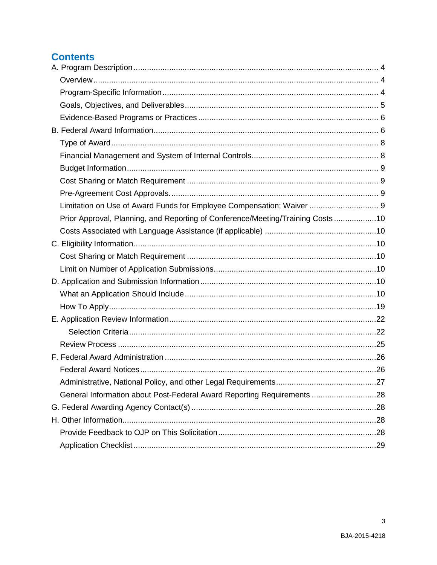# **Contents**

| Limitation on Use of Award Funds for Employee Compensation; Waiver  9          |  |
|--------------------------------------------------------------------------------|--|
| Prior Approval, Planning, and Reporting of Conference/Meeting/Training Costs10 |  |
|                                                                                |  |
|                                                                                |  |
|                                                                                |  |
|                                                                                |  |
|                                                                                |  |
|                                                                                |  |
|                                                                                |  |
|                                                                                |  |
|                                                                                |  |
|                                                                                |  |
|                                                                                |  |
|                                                                                |  |
|                                                                                |  |
| General Information about Post-Federal Award Reporting Requirements 28         |  |
|                                                                                |  |
|                                                                                |  |
|                                                                                |  |
|                                                                                |  |

 $\mathbf{3}$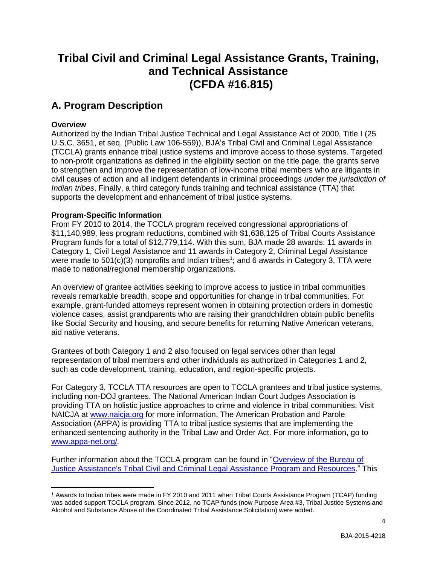# **Tribal Civil and Criminal Legal Assistance Grants, Training, and Technical Assistance (CFDA #16.815)**

# <span id="page-3-0"></span>**A. Program Description**

## <span id="page-3-1"></span>**Overview**

Authorized by the Indian Tribal Justice Technical and Legal Assistance Act of 2000, Title I (25 U.S.C. 3651, et seq. (Public Law 106-559)), BJA's Tribal Civil and Criminal Legal Assistance (TCCLA) grants enhance tribal justice systems and improve access to those systems. Targeted to non-profit organizations as defined in the eligibility section on the title page, the grants serve to strengthen and improve the representation of low-income tribal members who are litigants in civil causes of action and all indigent defendants in criminal proceedings *under the jurisdiction of Indian tribes*. Finally, a third category funds training and technical assistance (TTA) that supports the development and enhancement of tribal justice systems.

## <span id="page-3-2"></span>**Program**-**Specific Information**

From FY 2010 to 2014, the TCCLA program received congressional appropriations of \$11,140,989, less program reductions, combined with \$1,638,125 of Tribal Courts Assistance Program funds for a total of \$12,779,114. With this sum, BJA made 28 awards: 11 awards in Category 1, Civil Legal Assistance and 11 awards in Category 2, Criminal Legal Assistance were made to 501(c)(3) nonprofits and Indian tribes<sup>1</sup>; and 6 awards in Category 3, TTA were made to national/regional membership organizations.

An overview of grantee activities seeking to improve access to justice in tribal communities reveals remarkable breadth, scope and opportunities for change in tribal communities. For example, grant-funded attorneys represent women in obtaining protection orders in domestic violence cases, assist grandparents who are raising their grandchildren obtain public benefits like Social Security and housing, and secure benefits for returning Native American veterans, aid native veterans.

Grantees of both Category 1 and 2 also focused on legal services other than legal representation of tribal members and other individuals as authorized in Categories 1 and 2, such as code development, training, education, and region-specific projects.

For Category 3, TCCLA TTA resources are open to TCCLA grantees and tribal justice systems, including non-DOJ grantees. The National American Indian Court Judges Association is providing TTA on holistic justice approaches to crime and violence in tribal communities. Visit NAICJA at [www.naicja.org](http://www.naicja.org/) for more information. The American Probation and Parole Association (APPA) is providing TTA to tribal justice systems that are implementing the enhanced sentencing authority in the Tribal Law and Order Act. For more information, go to [www.appa-net.org/](http://www.appa-net.org/)*.* 

Further information about the TCCLA program can be found in ["Overview of the Bureau of](https://www.bja.gov/Publications/TCCLA_Overview.pdf)  [Justice Assistance's Tribal Civil and Criminal Legal Assistance Program and Resources.](https://www.bja.gov/Publications/TCCLA_Overview.pdf)" This

 $\overline{a}$ <sup>1</sup> Awards to Indian tribes were made in FY 2010 and 2011 when Tribal Courts Assistance Program (TCAP) funding was added support TCCLA program. Since 2012, no TCAP funds (now Purpose Area #3, Tribal Justice Systems and Alcohol and Substance Abuse of the Coordinated Tribal Assistance Solicitation) were added.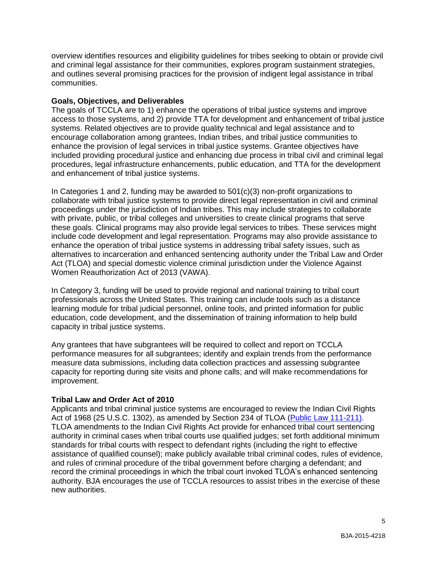overview identifies resources and eligibility guidelines for tribes seeking to obtain or provide civil and criminal legal assistance for their communities, explores program sustainment strategies, and outlines several promising practices for the provision of indigent legal assistance in tribal communities.

#### <span id="page-4-0"></span>**Goals, Objectives, and Deliverables**

The goals of TCCLA are to 1) enhance the operations of tribal justice systems and improve access to those systems, and 2) provide TTA for development and enhancement of tribal justice systems. Related objectives are to provide quality technical and legal assistance and to encourage collaboration among grantees, Indian tribes, and tribal justice communities to enhance the provision of legal services in tribal justice systems. Grantee objectives have included providing procedural justice and enhancing due process in tribal civil and criminal legal procedures, legal infrastructure enhancements, public education, and TTA for the development and enhancement of tribal justice systems.

In Categories 1 and 2, funding may be awarded to 501(c)(3) non-profit organizations to collaborate with tribal justice systems to provide direct legal representation in civil and criminal proceedings under the jurisdiction of Indian tribes. This may include strategies to collaborate with private, public, or tribal colleges and universities to create clinical programs that serve these goals. Clinical programs may also provide legal services to tribes. These services might include code development and legal representation. Programs may also provide assistance to enhance the operation of tribal justice systems in addressing tribal safety issues, such as alternatives to incarceration and enhanced sentencing authority under the Tribal Law and Order Act (TLOA) and special domestic violence criminal jurisdiction under the Violence Against Women Reauthorization Act of 2013 (VAWA).

In Category 3, funding will be used to provide regional and national training to tribal court professionals across the United States. This training can include tools such as a distance learning module for tribal judicial personnel, online tools, and printed information for public education, code development, and the dissemination of training information to help build capacity in tribal justice systems.

Any grantees that have subgrantees will be required to collect and report on TCCLA performance measures for all subgrantees; identify and explain trends from the performance measure data submissions, including data collection practices and assessing subgrantee capacity for reporting during site visits and phone calls; and will make recommendations for improvement.

## **Tribal Law and Order Act of 2010**

<span id="page-4-1"></span>Applicants and tribal criminal justice systems are encouraged to review the Indian Civil Rights Act of 1968 (25 U.S.C. 1302), as amended by Section 234 of TLOA [\(Public Law](http://frwebgate.access.gpo.gov/cgi-bin/getdoc.cgi?dbname=111_cong_public_laws&docid=f:publ211.111.pdf) 111-211). TLOA amendments to the Indian Civil Rights Act provide for enhanced tribal court sentencing authority in criminal cases when tribal courts use qualified judges; set forth additional minimum standards for tribal courts with respect to defendant rights (including the right to effective assistance of qualified counsel); make publicly available tribal criminal codes, rules of evidence, and rules of criminal procedure of the tribal government before charging a defendant; and record the criminal proceedings in which the tribal court invoked TLOA's enhanced sentencing authority. BJA encourages the use of TCCLA resources to assist tribes in the exercise of these new authorities.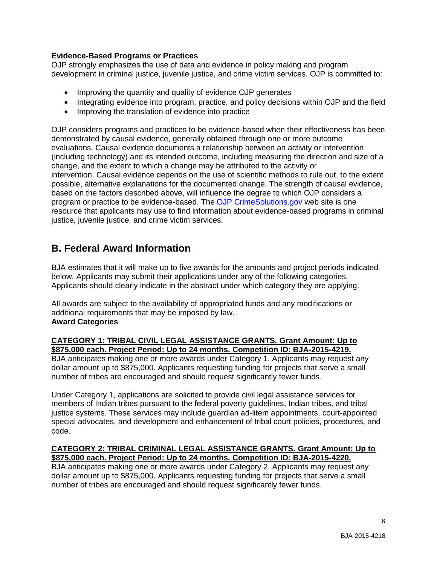## **Evidence-Based Programs or Practices**

OJP strongly emphasizes the use of data and evidence in policy making and program development in criminal justice, juvenile justice, and crime victim services. OJP is committed to:

- Improving the quantity and quality of evidence OJP generates
- Integrating evidence into program, practice, and policy decisions within OJP and the field
- Improving the translation of evidence into practice

OJP considers programs and practices to be evidence-based when their effectiveness has been demonstrated by causal evidence, generally obtained through one or more outcome evaluations. Causal evidence documents a relationship between an activity or intervention (including technology) and its intended outcome, including measuring the direction and size of a change, and the extent to which a change may be attributed to the activity or intervention. Causal evidence depends on the use of scientific methods to rule out, to the extent possible, alternative explanations for the documented change. The strength of causal evidence, based on the factors described above, will influence the degree to which OJP considers a program or practice to be evidence-based. The [OJP CrimeSolutions.gov](http://www.crimesolutions.gov/) web site is one resource that applicants may use to find information about evidence-based programs in criminal justice, juvenile justice, and crime victim services.

# <span id="page-5-0"></span>**B. Federal Award Information**

BJA estimates that it will make up to five awards for the amounts and project periods indicated below. Applicants may submit their applications under any of the following categories. Applicants should clearly indicate in the abstract under which category they are applying.

All awards are subject to the availability of appropriated funds and any modifications or additional requirements that may be imposed by law. **Award Categories**

## **CATEGORY 1: TRIBAL CIVIL LEGAL ASSISTANCE GRANTS. Grant Amount: Up to \$875,000 each. Project Period: Up to 24 months. Competition ID: BJA-2015-4219.**

BJA anticipates making one or more awards under Category 1. Applicants may request any dollar amount up to \$875,000. Applicants requesting funding for projects that serve a small number of tribes are encouraged and should request significantly fewer funds.

Under Category 1, applications are solicited to provide civil legal assistance services for members of Indian tribes pursuant to the federal poverty guidelines, Indian tribes, and tribal justice systems. These services may include guardian ad-litem appointments, court-appointed special advocates, and development and enhancement of tribal court policies, procedures, and code.

#### **CATEGORY 2: TRIBAL CRIMINAL LEGAL ASSISTANCE GRANTS. Grant Amount: Up to \$875,000 each. Project Period: Up to 24 months. Competition ID: BJA-2015-4220.**

BJA anticipates making one or more awards under Category 2. Applicants may request any dollar amount up to \$875,000. Applicants requesting funding for projects that serve a small number of tribes are encouraged and should request significantly fewer funds.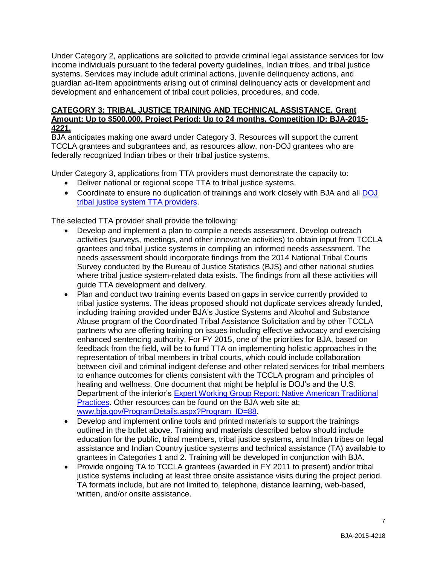Under Category 2, applications are solicited to provide criminal legal assistance services for low income individuals pursuant to the federal poverty guidelines, Indian tribes, and tribal justice systems. Services may include adult criminal actions, juvenile delinquency actions, and guardian ad-litem appointments arising out of criminal delinquency acts or development and development and enhancement of tribal court policies, procedures, and code.

## **CATEGORY 3: TRIBAL JUSTICE TRAINING AND TECHNICAL ASSISTANCE. Grant Amount: Up to \$500,000. Project Period: Up to 24 months. Competition ID: BJA-2015- 4221.**

BJA anticipates making one award under Category 3. Resources will support the current TCCLA grantees and subgrantees and, as resources allow, non-DOJ grantees who are federally recognized Indian tribes or their tribal justice systems.

Under Category 3, applications from TTA providers must demonstrate the capacity to:

- Deliver national or regional scope TTA to tribal justice systems.
- Coordinate to ensure no duplication of trainings and work closely with BJA and all DOJ [tribal justice system TTA providers.](http://www.justice.gov/tribal/training-and-technical-assistance)

The selected TTA provider shall provide the following:

- Develop and implement a plan to compile a needs assessment. Develop outreach activities (surveys, meetings, and other innovative activities) to obtain input from TCCLA grantees and tribal justice systems in compiling an informed needs assessment. The needs assessment should incorporate findings from the 2014 National Tribal Courts Survey conducted by the Bureau of Justice Statistics (BJS) and other national studies where tribal justice system-related data exists. The findings from all these activities will guide TTA development and delivery.
- Plan and conduct two training events based on gaps in service currently provided to tribal justice systems. The ideas proposed should not duplicate services already funded, including training provided under BJA's Justice Systems and Alcohol and Substance Abuse program of the Coordinated Tribal Assistance Solicitation and by other TCCLA partners who are offering training on issues including effective advocacy and exercising enhanced sentencing authority. For FY 2015, one of the priorities for BJA, based on feedback from the field, will be to fund TTA on implementing holistic approaches in the representation of tribal members in tribal courts, which could include collaboration between civil and criminal indigent defense and other related services for tribal members to enhance outcomes for clients consistent with the TCCLA program and principles of healing and wellness. One document that might be helpful is DOJ's and the U.S. Department of the interior's [Expert Working Group Report: Native American Traditional](http://www.justice.gov/sites/default/files/atj/legacy/2014/10/09/expert-working-group-report--native-american-traditional-justice-practices.pdf)  [Practices.](http://www.justice.gov/sites/default/files/atj/legacy/2014/10/09/expert-working-group-report--native-american-traditional-justice-practices.pdf) Other resources can be found on the BJA web site at: [www.bja.gov/ProgramDetails.aspx?Program\\_ID=88.](http://www.bja.gov/ProgramDetails.aspx?Program_ID=88)
- Develop and implement online tools and printed materials to support the trainings outlined in the bullet above. Training and materials described below should include education for the public, tribal members, tribal justice systems, and Indian tribes on legal assistance and Indian Country justice systems and technical assistance (TA) available to grantees in Categories 1 and 2. Training will be developed in conjunction with BJA.
- Provide ongoing TA to TCCLA grantees (awarded in FY 2011 to present) and/or tribal justice systems including at least three onsite assistance visits during the project period. TA formats include, but are not limited to, telephone, distance learning, web-based, written, and/or onsite assistance.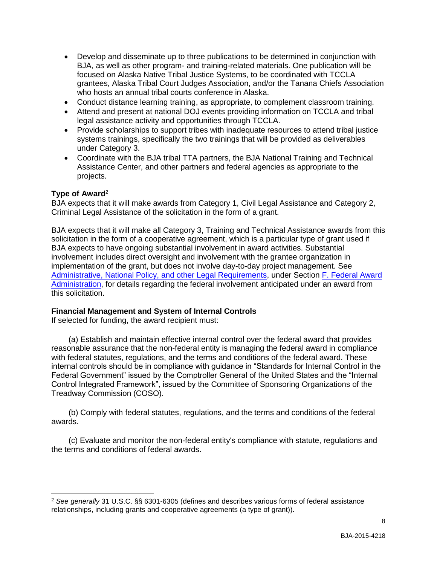- Develop and disseminate up to three publications to be determined in conjunction with BJA, as well as other program- and training-related materials. One publication will be focused on Alaska Native Tribal Justice Systems, to be coordinated with TCCLA grantees, Alaska Tribal Court Judges Association, and/or the Tanana Chiefs Association who hosts an annual tribal courts conference in Alaska.
- Conduct distance learning training, as appropriate, to complement classroom training.
- Attend and present at national DOJ events providing information on TCCLA and tribal legal assistance activity and opportunities through TCCLA.
- Provide scholarships to support tribes with inadequate resources to attend tribal justice systems trainings, specifically the two trainings that will be provided as deliverables under Category 3.
- Coordinate with the BJA tribal TTA partners, the BJA National Training and Technical Assistance Center, and other partners and federal agencies as appropriate to the projects.

## <span id="page-7-0"></span>**Type of Award**<sup>2</sup>

 $\overline{a}$ 

BJA expects that it will make awards from Category 1, Civil Legal Assistance and Category 2, Criminal Legal Assistance of the solicitation in the form of a grant.

BJA expects that it will make all Category 3, Training and Technical Assistance awards from this solicitation in the form of a cooperative agreement, which is a particular type of grant used if BJA expects to have ongoing substantial involvement in award activities. Substantial involvement includes direct oversight and involvement with the grantee organization in implementation of the grant, but does not involve day-to-day project management. See [Administrative, National Policy, and other Legal Requirements,](#page-26-0) under Section [F. Federal Award](#page-25-0)  [Administration,](#page-25-0) for details regarding the federal involvement anticipated under an award from this solicitation.

## <span id="page-7-1"></span>**Financial Management and System of Internal Controls**

If selected for funding, the award recipient must:

(a) Establish and maintain effective internal control over the federal award that provides reasonable assurance that the non-federal entity is managing the federal award in compliance with federal statutes, regulations, and the terms and conditions of the federal award. These internal controls should be in compliance with guidance in "Standards for Internal Control in the Federal Government" issued by the Comptroller General of the United States and the "Internal Control Integrated Framework", issued by the Committee of Sponsoring Organizations of the Treadway Commission (COSO).

(b) Comply with federal statutes, regulations, and the terms and conditions of the federal awards.

(c) Evaluate and monitor the non-federal entity's compliance with statute, regulations and the terms and conditions of federal awards.

<sup>2</sup> *See generally* 31 U.S.C. §§ 6301-6305 (defines and describes various forms of federal assistance relationships, including grants and cooperative agreements (a type of grant)).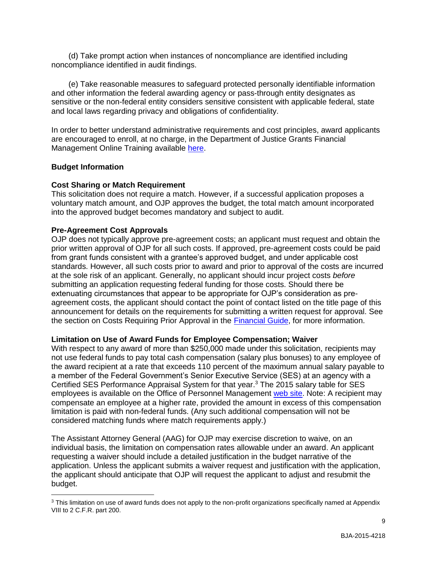(d) Take prompt action when instances of noncompliance are identified including noncompliance identified in audit findings.

(e) Take reasonable measures to safeguard protected personally identifiable information and other information the federal awarding agency or pass-through entity designates as sensitive or the non-federal entity considers sensitive consistent with applicable federal, state and local laws regarding privacy and obligations of confidentiality.

In order to better understand administrative requirements and cost principles, award applicants are encouraged to enroll, at no charge, in the Department of Justice Grants Financial Management Online Training available [here.](http://gfm.webfirst.com/)

#### <span id="page-8-0"></span>**Budget Information**

 $\overline{a}$ 

#### <span id="page-8-1"></span>**Cost Sharing or Match Requirement**

This solicitation does not require a match. However, if a successful application proposes a voluntary match amount, and OJP approves the budget, the total match amount incorporated into the approved budget becomes mandatory and subject to audit.

#### <span id="page-8-2"></span>**Pre-Agreement Cost Approvals**

OJP does not typically approve pre-agreement costs; an applicant must request and obtain the prior written approval of OJP for all such costs. If approved, pre-agreement costs could be paid from grant funds consistent with a grantee's approved budget, and under applicable cost standards. However, all such costs prior to award and prior to approval of the costs are incurred at the sole risk of an applicant. Generally, no applicant should incur project costs *before* submitting an application requesting federal funding for those costs. Should there be extenuating circumstances that appear to be appropriate for OJP's consideration as preagreement costs, the applicant should contact the point of contact listed on the title page of this announcement for details on the requirements for submitting a written request for approval. See the section on Costs Requiring Prior Approval in the [Financial Guide,](http://ojp.gov/financialguide/index.htm) for more information.

#### <span id="page-8-3"></span>**Limitation on Use of Award Funds for Employee Compensation; Waiver**

With respect to any award of more than \$250,000 made under this solicitation, recipients may not use federal funds to pay total cash compensation (salary plus bonuses) to any employee of the award recipient at a rate that exceeds 110 percent of the maximum annual salary payable to a member of the Federal Government's Senior Executive Service (SES) at an agency with a Certified SES Performance Appraisal System for that year.<sup>3</sup> The 2015 salary table for SES employees is available on the Office of Personnel Management [web site.](http://www.opm.gov/policy-data-oversight/pay-leave/salaries-wages/salary-tables/15Tables/exec/html/ES.aspx) Note: A recipient may compensate an employee at a higher rate, provided the amount in excess of this compensation limitation is paid with non-federal funds. (Any such additional compensation will not be considered matching funds where match requirements apply.)

The Assistant Attorney General (AAG) for OJP may exercise discretion to waive, on an individual basis, the limitation on compensation rates allowable under an award. An applicant requesting a waiver should include a detailed justification in the budget narrative of the application. Unless the applicant submits a waiver request and justification with the application, the applicant should anticipate that OJP will request the applicant to adjust and resubmit the budget.

<sup>&</sup>lt;sup>3</sup> This limitation on use of award funds does not apply to the non-profit organizations specifically named at Appendix VIII to 2 C.F.R. part 200.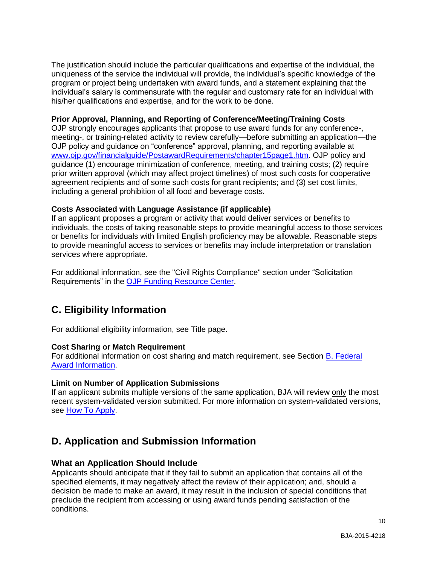The justification should include the particular qualifications and expertise of the individual, the uniqueness of the service the individual will provide, the individual's specific knowledge of the program or project being undertaken with award funds, and a statement explaining that the individual's salary is commensurate with the regular and customary rate for an individual with his/her qualifications and expertise, and for the work to be done.

## <span id="page-9-2"></span>**Prior Approval, Planning, and Reporting of Conference/Meeting/Training Costs**

OJP strongly encourages applicants that propose to use award funds for any conference-, meeting-, or training-related activity to review carefully—before submitting an application—the OJP policy and guidance on "conference" approval, planning, and reporting available at [www.ojp.gov/financialguide/PostawardRequirements/chapter15page1.htm.](http://www.ojp.gov/financialguide/PostawardRequirements/chapter15page1.htm) OJP policy and guidance (1) encourage minimization of conference, meeting, and training costs; (2) require prior written approval (which may affect project timelines) of most such costs for cooperative agreement recipients and of some such costs for grant recipients; and (3) set cost limits, including a general prohibition of all food and beverage costs.

## <span id="page-9-3"></span>**Costs Associated with Language Assistance (if applicable)**

If an applicant proposes a program or activity that would deliver services or benefits to individuals, the costs of taking reasonable steps to provide meaningful access to those services or benefits for individuals with limited English proficiency may be allowable. Reasonable steps to provide meaningful access to services or benefits may include interpretation or translation services where appropriate.

For additional information, see the "Civil Rights Compliance" section under "Solicitation Requirements" in the [OJP Funding Resource Center.](http://ojp.gov/funding/index.htm)

## <span id="page-9-0"></span>**C. Eligibility Information**

For additional eligibility information, see Title page.

## <span id="page-9-4"></span>**Cost Sharing or Match Requirement**

For additional information on cost sharing and match requirement, see Section [B. Federal](#page-5-0)  [Award Information.](#page-5-0)

## <span id="page-9-5"></span>**Limit on Number of Application Submissions**

If an applicant submits multiple versions of the same application, BJA will review only the most recent system-validated version submitted. For more information on system-validated versions, see [How To Apply.](#page-18-0)

## <span id="page-9-1"></span>**D. Application and Submission Information**

## <span id="page-9-6"></span>**What an Application Should Include**

Applicants should anticipate that if they fail to submit an application that contains all of the specified elements, it may negatively affect the review of their application; and, should a decision be made to make an award, it may result in the inclusion of special conditions that preclude the recipient from accessing or using award funds pending satisfaction of the conditions.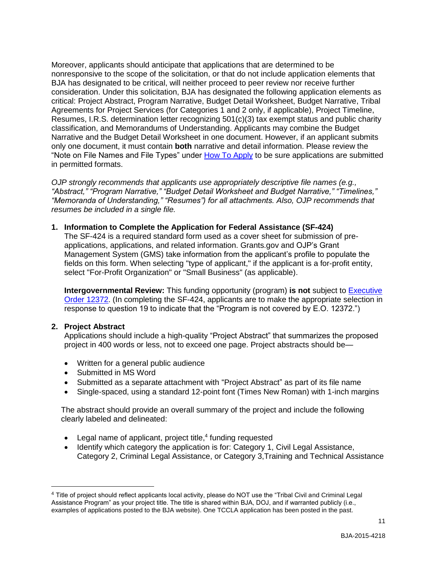Moreover, applicants should anticipate that applications that are determined to be nonresponsive to the scope of the solicitation, or that do not include application elements that BJA has designated to be critical, will neither proceed to peer review nor receive further consideration. Under this solicitation, BJA has designated the following application elements as critical: Project Abstract, Program Narrative, Budget Detail Worksheet, Budget Narrative, Tribal Agreements for Project Services (for Categories 1 and 2 only, if applicable), Project Timeline, Resumes, I.R.S. determination letter recognizing 501(c)(3) tax exempt status and public charity classification, and Memorandums of Understanding. Applicants may combine the Budget Narrative and the Budget Detail Worksheet in one document. However, if an applicant submits only one document, it must contain **both** narrative and detail information. Please review the "Note on File Names and File Types" under [How To Apply](#page-18-0) to be sure applications are submitted in permitted formats.

*OJP strongly recommends that applicants use appropriately descriptive file names (e.g., "Abstract," "Program Narrative," "Budget Detail Worksheet and Budget Narrative," "Timelines," "Memoranda of Understanding," "Resumes") for all attachments. Also, OJP recommends that resumes be included in a single file.*

#### **1. Information to Complete the Application for Federal Assistance (SF-424)**

The SF-424 is a required standard form used as a cover sheet for submission of preapplications, applications, and related information. Grants.gov and OJP's Grant Management System (GMS) take information from the applicant's profile to populate the fields on this form. When selecting "type of applicant," if the applicant is a for-profit entity, select "For-Profit Organization" or "Small Business" (as applicable).

**Intergovernmental Review:** This funding opportunity (program) is not subject to **Executive** [Order 12372.](http://www.archives.gov/federal-register/codification/executive-order/12372.html) (In completing the SF-424, applicants are to make the appropriate selection in response to question 19 to indicate that the "Program is not covered by E.O. 12372.")

#### **2. Project Abstract**

 $\overline{a}$ 

Applications should include a high-quality "Project Abstract" that summarizes the proposed project in 400 words or less, not to exceed one page. Project abstracts should be—

- Written for a general public audience
- Submitted in MS Word
- Submitted as a separate attachment with "Project Abstract" as part of its file name
- Single-spaced, using a standard 12-point font (Times New Roman) with 1-inch margins

The abstract should provide an overall summary of the project and include the following clearly labeled and delineated:

- Legal name of applicant, project title,<sup>4</sup> funding requested
- Identify which category the application is for: Category 1, Civil Legal Assistance, Category 2, Criminal Legal Assistance, or Category 3,Training and Technical Assistance

<sup>4</sup> Title of project should reflect applicants local activity, please do NOT use the "Tribal Civil and Criminal Legal Assistance Program" as your project title. The title is shared within BJA, DOJ, and if warranted publicly (i.e., examples of applications posted to the BJA website). One TCCLA application has been posted in the past.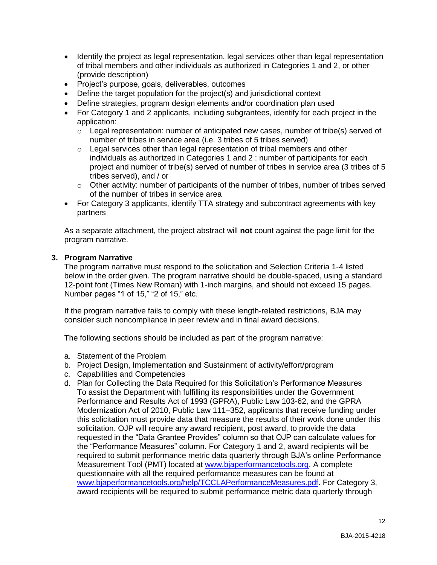- Identify the project as legal representation, legal services other than legal representation of tribal members and other individuals as authorized in Categories 1 and 2, or other (provide description)
- Project's purpose, goals, deliverables, outcomes
- Define the target population for the project(s) and jurisdictional context
- Define strategies, program design elements and/or coordination plan used
- For Category 1 and 2 applicants, including subgrantees, identify for each project in the application:
	- $\circ$  Legal representation: number of anticipated new cases, number of tribe(s) served of number of tribes in service area (i.e. 3 tribes of 5 tribes served)
	- $\circ$  Legal services other than legal representation of tribal members and other individuals as authorized in Categories 1 and 2 : number of participants for each project and number of tribe(s) served of number of tribes in service area (3 tribes of 5 tribes served), and / or
	- $\circ$  Other activity: number of participants of the number of tribes, number of tribes served of the number of tribes in service area
- For Category 3 applicants, identify TTA strategy and subcontract agreements with key partners

As a separate attachment, the project abstract will **not** count against the page limit for the program narrative.

## **3. Program Narrative**

The program narrative must respond to the solicitation and Selection Criteria 1-4 listed below in the order given. The program narrative should be double-spaced, using a standard 12-point font (Times New Roman) with 1-inch margins, and should not exceed 15 pages. Number pages "1 of 15," "2 of 15," etc.

If the program narrative fails to comply with these length-related restrictions, BJA may consider such noncompliance in peer review and in final award decisions.

The following sections should be included as part of the program narrative:

- a. Statement of the Problem
- b. Project Design, Implementation and Sustainment of activity/effort/program
- c. Capabilities and Competencies
- d. Plan for Collecting the Data Required for this Solicitation's Performance Measures To assist the Department with fulfilling its responsibilities under the Government Performance and Results Act of 1993 (GPRA), Public Law 103-62, and the GPRA Modernization Act of 2010, Public Law 111–352, applicants that receive funding under this solicitation must provide data that measure the results of their work done under this solicitation. OJP will require any award recipient, post award, to provide the data requested in the "Data Grantee Provides" column so that OJP can calculate values for the "Performance Measures" column. For Category 1 and 2, award recipients will be required to submit performance metric data quarterly through BJA's online Performance Measurement Tool (PMT) located at [www.bjaperformancetools.org.](https://www.bjaperformancetools.org/) A complete questionnaire with all the required performance measures can be found at [www.bjaperformancetools.org/help/TCCLAPerformanceMeasures.pdf.](https://www.bjaperformancetools.org/help/TCCLAPerformanceMeasures.pdf) For Category 3, award recipients will be required to submit performance metric data quarterly through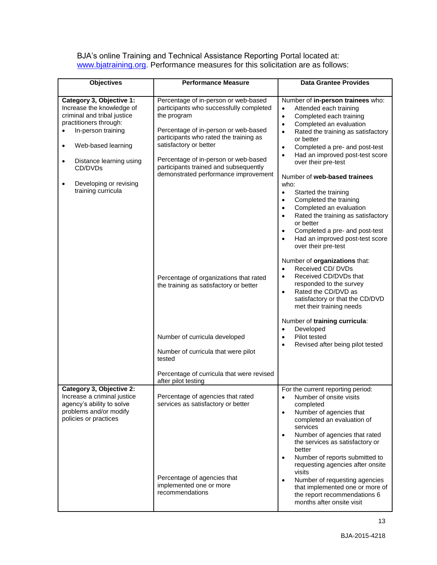BJA's online Training and Technical Assistance Reporting Portal located at: [www.bjatraining.org.](http://www.bjatraining.org/) Performance measures for this solicitation are as follows:

| <b>Objectives</b>                                                                                                                                                       | <b>Performance Measure</b>                                                                                                                                                                                 | <b>Data Grantee Provides</b>                                                                                                                                                                                                                                                                                                                                                                                                                                                                      |
|-------------------------------------------------------------------------------------------------------------------------------------------------------------------------|------------------------------------------------------------------------------------------------------------------------------------------------------------------------------------------------------------|---------------------------------------------------------------------------------------------------------------------------------------------------------------------------------------------------------------------------------------------------------------------------------------------------------------------------------------------------------------------------------------------------------------------------------------------------------------------------------------------------|
| Category 3, Objective 1:<br>Increase the knowledge of<br>criminal and tribal justice<br>practitioners through:<br>In-person training<br>Web-based learning<br>$\bullet$ | Percentage of in-person or web-based<br>participants who successfully completed<br>the program<br>Percentage of in-person or web-based<br>participants who rated the training as<br>satisfactory or better | Number of in-person trainees who:<br>Attended each training<br>$\bullet$<br>Completed each training<br>$\bullet$<br>Completed an evaluation<br>$\bullet$<br>Rated the training as satisfactory<br>$\bullet$<br>or better<br>Completed a pre- and post-test<br>$\bullet$<br>Had an improved post-test score<br>$\bullet$                                                                                                                                                                           |
| Distance learning using<br>$\bullet$<br>CD/DVDs<br>Developing or revising<br>$\bullet$<br>training curricula                                                            | Percentage of in-person or web-based<br>participants trained and subsequently<br>demonstrated performance improvement                                                                                      | over their pre-test<br>Number of web-based trainees<br>who:<br>Started the training<br>$\bullet$<br>Completed the training<br>$\bullet$<br>Completed an evaluation<br>$\bullet$<br>Rated the training as satisfactory<br>$\bullet$<br>or better<br>Completed a pre- and post-test<br>$\bullet$<br>Had an improved post-test score<br>$\bullet$<br>over their pre-test                                                                                                                             |
|                                                                                                                                                                         | Percentage of organizations that rated<br>the training as satisfactory or better                                                                                                                           | Number of organizations that:<br>Received CD/DVDs<br>$\bullet$<br>Received CD/DVDs that<br>$\bullet$<br>responded to the survey<br>Rated the CD/DVD as<br>$\bullet$<br>satisfactory or that the CD/DVD<br>met their training needs<br>Number of training curricula:<br>Developed<br>$\bullet$                                                                                                                                                                                                     |
|                                                                                                                                                                         | Number of curricula developed<br>Number of curricula that were pilot<br>tested<br>Percentage of curricula that were revised                                                                                | Pilot tested<br>$\bullet$<br>Revised after being pilot tested<br>$\bullet$                                                                                                                                                                                                                                                                                                                                                                                                                        |
| Category 3, Objective 2:<br>Increase a criminal justice<br>agency's ability to solve<br>problems and/or modify<br>policies or practices                                 | after pilot testing<br>Percentage of agencies that rated<br>services as satisfactory or better<br>Percentage of agencies that<br>implemented one or more<br>recommendations                                | For the current reporting period:<br>Number of onsite visits<br>completed<br>Number of agencies that<br>$\bullet$<br>completed an evaluation of<br>services<br>Number of agencies that rated<br>$\bullet$<br>the services as satisfactory or<br>better<br>Number of reports submitted to<br>$\bullet$<br>requesting agencies after onsite<br>visits<br>Number of requesting agencies<br>$\bullet$<br>that implemented one or more of<br>the report recommendations 6<br>months after onsite visit |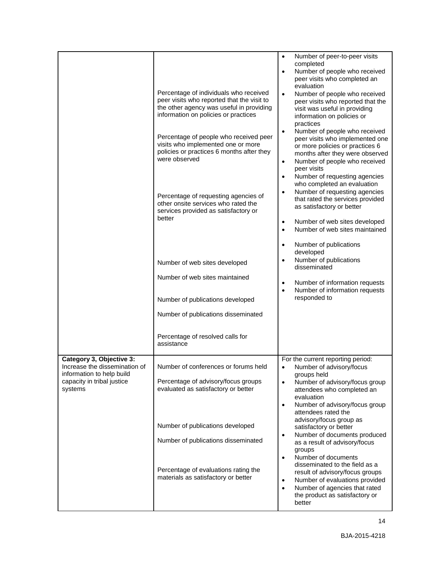|                                                                                                                                 | Percentage of individuals who received<br>peer visits who reported that the visit to<br>the other agency was useful in providing<br>information on policies or practices<br>Percentage of people who received peer<br>visits who implemented one or more<br>policies or practices 6 months after they<br>were observed<br>Percentage of requesting agencies of<br>other onsite services who rated the<br>services provided as satisfactory or<br>better<br>Number of web sites developed<br>Number of web sites maintained<br>Number of publications developed<br>Number of publications disseminated | Number of peer-to-peer visits<br>$\bullet$<br>completed<br>Number of people who received<br>$\bullet$<br>peer visits who completed an<br>evaluation<br>$\bullet$<br>Number of people who received<br>peer visits who reported that the<br>visit was useful in providing<br>information on policies or<br>practices<br>Number of people who received<br>$\bullet$<br>peer visits who implemented one<br>or more policies or practices 6<br>months after they were observed<br>Number of people who received<br>$\bullet$<br>peer visits<br>Number of requesting agencies<br>$\bullet$<br>who completed an evaluation<br>Number of requesting agencies<br>$\bullet$<br>that rated the services provided<br>as satisfactory or better<br>Number of web sites developed<br>$\bullet$<br>Number of web sites maintained<br>$\bullet$<br>Number of publications<br>$\bullet$<br>developed<br>Number of publications<br>$\bullet$<br>disseminated<br>Number of information requests<br>$\bullet$<br>Number of information requests<br>$\bullet$<br>responded to |
|---------------------------------------------------------------------------------------------------------------------------------|-------------------------------------------------------------------------------------------------------------------------------------------------------------------------------------------------------------------------------------------------------------------------------------------------------------------------------------------------------------------------------------------------------------------------------------------------------------------------------------------------------------------------------------------------------------------------------------------------------|----------------------------------------------------------------------------------------------------------------------------------------------------------------------------------------------------------------------------------------------------------------------------------------------------------------------------------------------------------------------------------------------------------------------------------------------------------------------------------------------------------------------------------------------------------------------------------------------------------------------------------------------------------------------------------------------------------------------------------------------------------------------------------------------------------------------------------------------------------------------------------------------------------------------------------------------------------------------------------------------------------------------------------------------------------|
|                                                                                                                                 | Percentage of resolved calls for<br>assistance                                                                                                                                                                                                                                                                                                                                                                                                                                                                                                                                                        |                                                                                                                                                                                                                                                                                                                                                                                                                                                                                                                                                                                                                                                                                                                                                                                                                                                                                                                                                                                                                                                          |
| Category 3, Objective 3:<br>Increase the dissemination of<br>information to help build<br>capacity in tribal justice<br>systems | Number of conferences or forums held<br>Percentage of advisory/focus groups<br>evaluated as satisfactory or better<br>Number of publications developed<br>Number of publications disseminated<br>Percentage of evaluations rating the<br>materials as satisfactory or better                                                                                                                                                                                                                                                                                                                          | For the current reporting period:<br>Number of advisory/focus<br>groups held<br>Number of advisory/focus group<br>$\bullet$<br>attendees who completed an<br>evaluation<br>Number of advisory/focus group<br>$\bullet$<br>attendees rated the<br>advisory/focus group as<br>satisfactory or better<br>Number of documents produced<br>$\bullet$<br>as a result of advisory/focus<br>groups<br>Number of documents<br>$\bullet$<br>disseminated to the field as a<br>result of advisory/focus groups<br>Number of evaluations provided<br>٠<br>Number of agencies that rated<br>$\bullet$<br>the product as satisfactory or<br>better                                                                                                                                                                                                                                                                                                                                                                                                                     |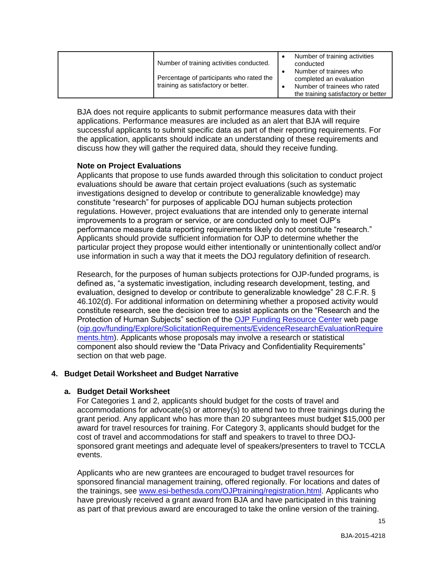| Number of training activities conducted.                                        | Number of training activities<br>conducted                                        |
|---------------------------------------------------------------------------------|-----------------------------------------------------------------------------------|
| Percentage of participants who rated the<br>training as satisfactory or better. | Number of trainees who<br>completed an evaluation<br>Number of trainees who rated |
|                                                                                 | the training satisfactory or better                                               |

BJA does not require applicants to submit performance measures data with their applications. Performance measures are included as an alert that BJA will require successful applicants to submit specific data as part of their reporting requirements. For the application, applicants should indicate an understanding of these requirements and discuss how they will gather the required data, should they receive funding.

## **Note on Project Evaluations**

Applicants that propose to use funds awarded through this solicitation to conduct project evaluations should be aware that certain project evaluations (such as systematic investigations designed to develop or contribute to generalizable knowledge) may constitute "research" for purposes of applicable DOJ human subjects protection regulations. However, project evaluations that are intended only to generate internal improvements to a program or service, or are conducted only to meet OJP's performance measure data reporting requirements likely do not constitute "research." Applicants should provide sufficient information for OJP to determine whether the particular project they propose would either intentionally or unintentionally collect and/or use information in such a way that it meets the DOJ regulatory definition of research.

Research, for the purposes of human subjects protections for OJP-funded programs, is defined as, "a systematic investigation, including research development, testing, and evaluation, designed to develop or contribute to generalizable knowledge" 28 C.F.R. § 46.102(d). For additional information on determining whether a proposed activity would constitute research, see the decision tree to assist applicants on the "Research and the Protection of Human Subjects" section of the [OJP Funding Resource Center](http://ojp.gov/funding/index.htm) web page [\(ojp.gov/funding/Explore/SolicitationRequirements/EvidenceResearchEvaluationRequire](http://ojp.gov/funding/Explore/SolicitationRequirements/EvidenceResearchEvaluationRequirements.htm) [ments.htm\)](http://ojp.gov/funding/Explore/SolicitationRequirements/EvidenceResearchEvaluationRequirements.htm). Applicants whose proposals may involve a research or statistical component also should review the "Data Privacy and Confidentiality Requirements" section on that web page.

## **4. Budget Detail Worksheet and Budget Narrative**

#### **a. Budget Detail Worksheet**

For Categories 1 and 2, applicants should budget for the costs of travel and accommodations for advocate(s) or attorney(s) to attend two to three trainings during the grant period. Any applicant who has more than 20 subgrantees must budget \$15,000 per award for travel resources for training. For Category 3, applicants should budget for the cost of travel and accommodations for staff and speakers to travel to three DOJsponsored grant meetings and adequate level of speakers/presenters to travel to TCCLA events.

Applicants who are new grantees are encouraged to budget travel resources for sponsored financial management training, offered regionally. For locations and dates of the trainings, see [www.esi-bethesda.com/OJPtraining/registration.html.](http://www.esi-bethesda.com/OJPtraining/registration.html) Applicants who have previously received a grant award from BJA and have participated in this training as part of that previous award are encouraged to take the online version of the training.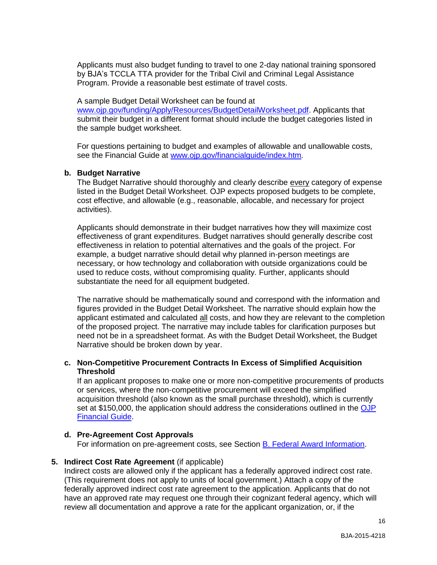Applicants must also budget funding to travel to one 2-day national training sponsored by BJA's TCCLA TTA provider for the Tribal Civil and Criminal Legal Assistance Program. Provide a reasonable best estimate of travel costs.

#### A sample Budget Detail Worksheet can be found at

[www.ojp.gov/funding/Apply/Resources/BudgetDetailWorksheet.pdf.](http://ojp.gov/funding/Apply/Resources/BudgetDetailWorksheet.pdf) Applicants that submit their budget in a different format should include the budget categories listed in the sample budget worksheet.

For questions pertaining to budget and examples of allowable and unallowable costs, see the Financial Guide at [www.ojp.gov/financialguide/index.htm](http://www.ojp.gov/financialguide/index.htm)*.*

#### **b. Budget Narrative**

The Budget Narrative should thoroughly and clearly describe every category of expense listed in the Budget Detail Worksheet. OJP expects proposed budgets to be complete, cost effective, and allowable (e.g., reasonable, allocable, and necessary for project activities).

Applicants should demonstrate in their budget narratives how they will maximize cost effectiveness of grant expenditures. Budget narratives should generally describe cost effectiveness in relation to potential alternatives and the goals of the project. For example, a budget narrative should detail why planned in-person meetings are necessary, or how technology and collaboration with outside organizations could be used to reduce costs, without compromising quality. Further, applicants should substantiate the need for all equipment budgeted.

The narrative should be mathematically sound and correspond with the information and figures provided in the Budget Detail Worksheet. The narrative should explain how the applicant estimated and calculated all costs, and how they are relevant to the completion of the proposed project. The narrative may include tables for clarification purposes but need not be in a spreadsheet format. As with the Budget Detail Worksheet, the Budget Narrative should be broken down by year.

#### **c. Non-Competitive Procurement Contracts In Excess of Simplified Acquisition Threshold**

If an applicant proposes to make one or more non-competitive procurements of products or services, where the non-competitive procurement will exceed the simplified acquisition threshold (also known as the small purchase threshold), which is currently set at \$150,000, the application should address the considerations outlined in the OJP [Financial Guide.](http://ojp.gov/financialguide/index.htm)

## **d. Pre-Agreement Cost Approvals**

For information on pre-agreement costs, see Section [B. Federal Award Information.](#page-5-0)

## **5. Indirect Cost Rate Agreement** (if applicable)

Indirect costs are allowed only if the applicant has a federally approved indirect cost rate. (This requirement does not apply to units of local government.) Attach a copy of the federally approved indirect cost rate agreement to the application. Applicants that do not have an approved rate may request one through their cognizant federal agency, which will review all documentation and approve a rate for the applicant organization, or, if the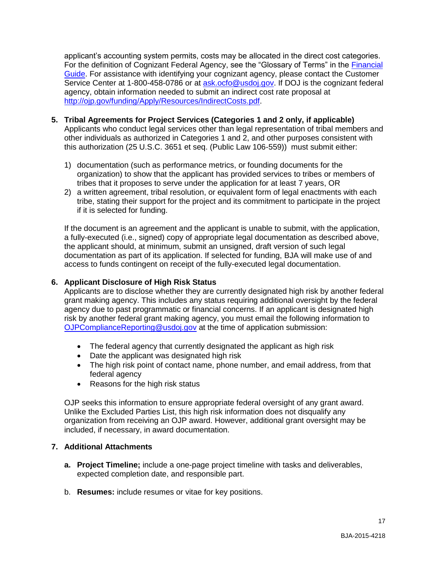applicant's accounting system permits, costs may be allocated in the direct cost categories. For the definition of Cognizant Federal Agency, see the "Glossary of Terms" in the [Financial](http://ojp.gov/financialguide/index.htm)  [Guide.](http://ojp.gov/financialguide/index.htm) For assistance with identifying your cognizant agency, please contact the Customer Service Center at 1-800-458-0786 or at [ask.ocfo@usdoj.gov.](mailto:ask.ocfo@usdoj.gov) If DOJ is the cognizant federal agency, obtain information needed to submit an indirect cost rate proposal at [http://ojp.gov/funding/Apply/Resources/IndirectCosts.pdf.](http://ojp.gov/funding/Apply/Resources/IndirectCosts.pdf)

- **5. Tribal Agreements for Project Services (Categories 1 and 2 only, if applicable)** Applicants who conduct legal services other than legal representation of tribal members and other individuals as authorized in Categories 1 and 2, and other purposes consistent with this authorization (25 U.S.C. 3651 et seq. (Public Law 106-559)) must submit either:
	- 1) documentation (such as performance metrics, or founding documents for the organization) to show that the applicant has provided services to tribes or members of tribes that it proposes to serve under the application for at least 7 years, OR
	- 2) a written agreement, tribal resolution, or equivalent form of legal enactments with each tribe, stating their support for the project and its commitment to participate in the project if it is selected for funding.

If the document is an agreement and the applicant is unable to submit, with the application, a fully-executed (i.e., signed) copy of appropriate legal documentation as described above, the applicant should, at minimum, submit an unsigned, draft version of such legal documentation as part of its application. If selected for funding, BJA will make use of and access to funds contingent on receipt of the fully-executed legal documentation.

## **6. Applicant Disclosure of High Risk Status**

Applicants are to disclose whether they are currently designated high risk by another federal grant making agency. This includes any status requiring additional oversight by the federal agency due to past programmatic or financial concerns. If an applicant is designated high risk by another federal grant making agency, you must email the following information to [OJPComplianceReporting@usdoj.gov](mailto:OJPComplianceReporting@usdoj.gov) at the time of application submission:

- The federal agency that currently designated the applicant as high risk
- Date the applicant was designated high risk
- The high risk point of contact name, phone number, and email address, from that federal agency
- Reasons for the high risk status

OJP seeks this information to ensure appropriate federal oversight of any grant award. Unlike the Excluded Parties List, this high risk information does not disqualify any organization from receiving an OJP award. However, additional grant oversight may be included, if necessary, in award documentation.

## **7. Additional Attachments**

- **a. Project Timeline;** include a one-page project timeline with tasks and deliverables, expected completion date, and responsible part.
- b. **Resumes:** include resumes or vitae for key positions.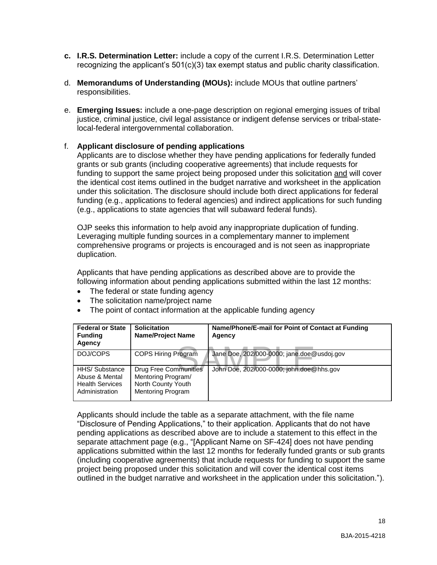- **c. I.R.S. Determination Letter:** include a copy of the current I.R.S. Determination Letter recognizing the applicant's 501(c)(3) tax exempt status and public charity classification.
- d. **Memorandums of Understanding (MOUs):** include MOUs that outline partners' responsibilities.
- e. **Emerging Issues:** include a one-page description on regional emerging issues of tribal justice, criminal justice, civil legal assistance or indigent defense services or tribal-statelocal-federal intergovernmental collaboration.

## f. **Applicant disclosure of pending applications**

Applicants are to disclose whether they have pending applications for federally funded grants or sub grants (including cooperative agreements) that include requests for funding to support the same project being proposed under this solicitation and will cover the identical cost items outlined in the budget narrative and worksheet in the application under this solicitation. The disclosure should include both direct applications for federal funding (e.g., applications to federal agencies) and indirect applications for such funding (e.g., applications to state agencies that will subaward federal funds).

OJP seeks this information to help avoid any inappropriate duplication of funding. Leveraging multiple funding sources in a complementary manner to implement comprehensive programs or projects is encouraged and is not seen as inappropriate duplication.

Applicants that have pending applications as described above are to provide the following information about pending applications submitted within the last 12 months:

- The federal or state funding agency
- The solicitation name/project name
- The point of contact information at the applicable funding agency

| <b>Federal or State</b><br><b>Funding</b><br>Agency                          | <b>Solicitation</b><br><b>Name/Project Name</b>                                               | Name/Phone/E-mail for Point of Contact at Funding<br>Agency |
|------------------------------------------------------------------------------|-----------------------------------------------------------------------------------------------|-------------------------------------------------------------|
| DOJ/COPS                                                                     | COPS Hiring Program                                                                           | Jane Doe, 202/000-0000; jane.doe@usdoj.gov                  |
| HHS/ Substance<br>Abuse & Mental<br><b>Health Services</b><br>Administration | <b>Drug Free Communities</b><br>Mentoring Program/<br>North County Youth<br>Mentoring Program | John Doe, 202/000-0000; john.doe@hhs.gov                    |

Applicants should include the table as a separate attachment, with the file name "Disclosure of Pending Applications," to their application. Applicants that do not have pending applications as described above are to include a statement to this effect in the separate attachment page (e.g., "[Applicant Name on SF-424] does not have pending applications submitted within the last 12 months for federally funded grants or sub grants (including cooperative agreements) that include requests for funding to support the same project being proposed under this solicitation and will cover the identical cost items outlined in the budget narrative and worksheet in the application under this solicitation.").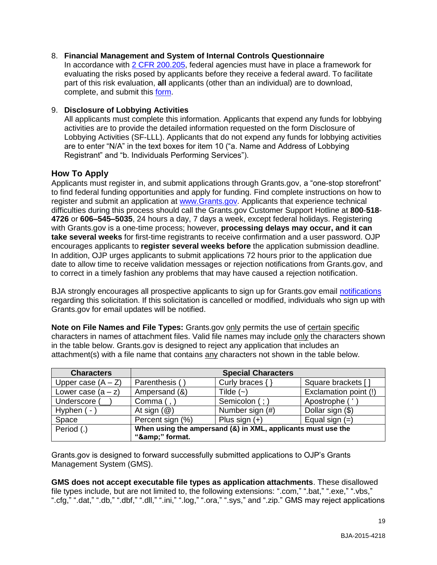## 8. **Financial Management and System of Internal Controls Questionnaire**

In accordance with [2 CFR 200.205,](http://www.ecfr.gov/cgi-bin/text-idx?SID=2ebfb13012953333f32ed4cf1411e33e&node=pt2.1.200&rgn=div5#se2.1.200_1205) federal agencies must have in place a framework for evaluating the risks posed by applicants before they receive a federal award. To facilitate part of this risk evaluation, **all** applicants (other than an individual) are to download, complete, and submit this [form.](http://ojp.gov/funding/Apply/Resources/FinancialCapability.pdf)

## 9. **Disclosure of Lobbying Activities**

All applicants must complete this information. Applicants that expend any funds for lobbying activities are to provide the detailed information requested on the form Disclosure of Lobbying Activities (SF-LLL). Applicants that do not expend any funds for lobbying activities are to enter "N/A" in the text boxes for item 10 ("a. Name and Address of Lobbying Registrant" and "b. Individuals Performing Services").

## <span id="page-18-0"></span>**How To Apply**

Applicants must register in, and submit applications through Grants.gov, a "one-stop storefront" to find federal funding opportunities and apply for funding. Find complete instructions on how to register and submit an application at [www.Grants.gov.](http://www.grants.gov/) Applicants that experience technical difficulties during this process should call the Grants.gov Customer Support Hotline at **800**-**518**- **4726** or **606–545–5035**, 24 hours a day, 7 days a week, except federal holidays. Registering with Grants.gov is a one-time process; however, **processing delays may occur, and it can take several weeks** for first-time registrants to receive confirmation and a user password. OJP encourages applicants to **register several weeks before** the application submission deadline. In addition, OJP urges applicants to submit applications 72 hours prior to the application due date to allow time to receive validation messages or rejection notifications from Grants.gov, and to correct in a timely fashion any problems that may have caused a rejection notification.

BJA strongly encourages all prospective applicants to sign up for Grants.gov email [notifications](http://www.grants.gov/web/grants/manage-subscriptions.html) regarding this solicitation. If this solicitation is cancelled or modified, individuals who sign up with Grants.gov for email updates will be notified.

**Note on File Names and File Types:** Grants.gov only permits the use of certain specific characters in names of attachment files. Valid file names may include only the characters shown in the table below. Grants.gov is designed to reject any application that includes an attachment(s) with a file name that contains any characters not shown in the table below.

| <b>Characters</b>    |                         | <b>Special Characters</b>                                    |                       |
|----------------------|-------------------------|--------------------------------------------------------------|-----------------------|
| Upper case $(A - Z)$ | Parenthesis (           | Curly braces {                                               | Square brackets [     |
| Lower case $(a - z)$ | Ampersand (&)           | Tilde $(\sim)$                                               | Exclamation point (!) |
| Underscore (         | Comma $($ , $)$         | Semicolon (; )                                               | Apostrophe ('         |
| Hyphen ( -           | At sign $(\mathcal{Q})$ | Number sign (#)                                              | Dollar sign (\$)      |
| Space                | Percent sign (%)        | Plus sign $(+)$                                              | Equal sign $(=)$      |
| Period (.)           | "&" format.             | When using the ampersand (&) in XML, applicants must use the |                       |

Grants.gov is designed to forward successfully submitted applications to OJP's Grants Management System (GMS).

**GMS does not accept executable file types as application attachments**. These disallowed file types include, but are not limited to, the following extensions: ".com," ".bat," ".exe," ".vbs," ".cfg," ".dat," ".db," ".dbf," ".dll," ".ini," ".log," ".ora," ".sys," and ".zip." GMS may reject applications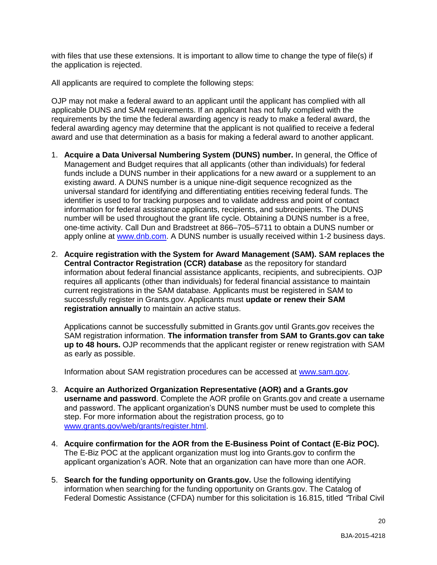with files that use these extensions. It is important to allow time to change the type of file(s) if the application is rejected.

All applicants are required to complete the following steps:

OJP may not make a federal award to an applicant until the applicant has complied with all applicable DUNS and SAM requirements. If an applicant has not fully complied with the requirements by the time the federal awarding agency is ready to make a federal award, the federal awarding agency may determine that the applicant is not qualified to receive a federal award and use that determination as a basis for making a federal award to another applicant.

- 1. **Acquire a Data Universal Numbering System (DUNS) number.** In general, the Office of Management and Budget requires that all applicants (other than individuals) for federal funds include a DUNS number in their applications for a new award or a supplement to an existing award. A DUNS number is a unique nine-digit sequence recognized as the universal standard for identifying and differentiating entities receiving federal funds. The identifier is used to for tracking purposes and to validate address and point of contact information for federal assistance applicants, recipients, and subrecipients. The DUNS number will be used throughout the grant life cycle. Obtaining a DUNS number is a free, one-time activity. Call Dun and Bradstreet at 866–705–5711 to obtain a DUNS number or apply online at [www.dnb.com.](http://www.dnb.com/) A DUNS number is usually received within 1-2 business days.
- 2. **Acquire registration with the System for Award Management (SAM). SAM replaces the Central Contractor Registration (CCR) database** as the repository for standard information about federal financial assistance applicants, recipients, and subrecipients. OJP requires all applicants (other than individuals) for federal financial assistance to maintain current registrations in the SAM database. Applicants must be registered in SAM to successfully register in Grants.gov. Applicants must **update or renew their SAM registration annually** to maintain an active status.

Applications cannot be successfully submitted in Grants.gov until Grants.gov receives the SAM registration information. **The information transfer from SAM to Grants.gov can take up to 48 hours.** OJP recommends that the applicant register or renew registration with SAM as early as possible.

Information about SAM registration procedures can be accessed at [www.sam.gov.](https://www.sam.gov/portal/public/SAM/?portal:componentId=1f834b82-3fed-4eb3-a1f8-ea1f226a7955&portal:type=action&interactionstate=JBPNS_rO0ABXc0ABBfanNmQnJpZGdlVmlld0lkAAAAAQATL2pzZi9uYXZpZ2F0aW9uLmpzcAAHX19FT0ZfXw**)

- 3. **Acquire an Authorized Organization Representative (AOR) and a Grants.gov username and password**. Complete the AOR profile on Grants.gov and create a username and password. The applicant organization's DUNS number must be used to complete this step. For more information about the registration process, go to [www.grants.gov/web/grants/register.html.](http://www.grants.gov/web/grants/register.html)
- 4. **Acquire confirmation for the AOR from the E-Business Point of Contact (E-Biz POC).**  The E-Biz POC at the applicant organization must log into Grants.gov to confirm the applicant organization's AOR. Note that an organization can have more than one AOR.
- 5. **Search for the funding opportunity on Grants.gov.** Use the following identifying information when searching for the funding opportunity on Grants.gov. The Catalog of Federal Domestic Assistance (CFDA) number for this solicitation is 16.815, titled *"*Tribal Civil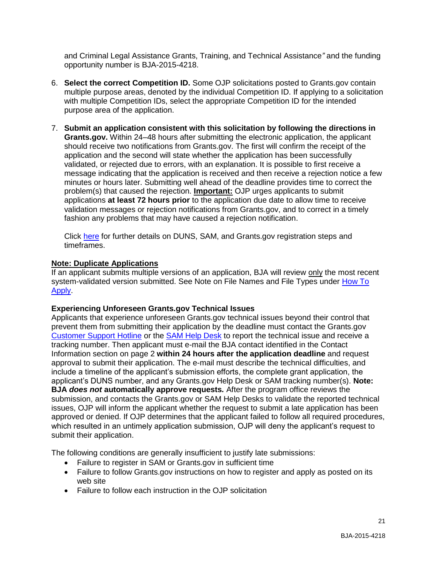and Criminal Legal Assistance Grants, Training, and Technical Assistance*"* and the funding opportunity number is BJA-2015-4218.

- 6. **Select the correct Competition ID.** Some OJP solicitations posted to Grants.gov contain multiple purpose areas, denoted by the individual Competition ID. If applying to a solicitation with multiple Competition IDs, select the appropriate Competition ID for the intended purpose area of the application.
- 7. **Submit an application consistent with this solicitation by following the directions in Grants.gov.** Within 24–48 hours after submitting the electronic application, the applicant should receive two notifications from Grants.gov. The first will confirm the receipt of the application and the second will state whether the application has been successfully validated, or rejected due to errors, with an explanation. It is possible to first receive a message indicating that the application is received and then receive a rejection notice a few minutes or hours later. Submitting well ahead of the deadline provides time to correct the problem(s) that caused the rejection. **Important:** OJP urges applicants to submit applications **at least 72 hours prior** to the application due date to allow time to receive validation messages or rejection notifications from Grants.gov, and to correct in a timely fashion any problems that may have caused a rejection notification.

Click [here](http://www.grants.gov/web/grants/applicants/organization-registration.html) for further details on DUNS, SAM, and Grants.gov registration steps and timeframes.

## **Note: Duplicate Applications**

If an applicant submits multiple versions of an application, BJA will review only the most recent system-validated version submitted. See Note on File Names and File Types under [How To](#page-18-0)  [Apply.](#page-18-0)

## **Experiencing Unforeseen Grants.gov Technical Issues**

Applicants that experience unforeseen Grants.gov technical issues beyond their control that prevent them from submitting their application by the deadline must contact the Grants.gov [Customer Support Hotline](http://www.grants.gov/web/grants/about/contact-us.html) or the [SAM Help Desk](https://www.fsd.gov/fsd-gov/home.do) to report the technical issue and receive a tracking number. Then applicant must e-mail the BJA contact identified in the Contact Information section on page 2 **within 24 hours after the application deadline** and request approval to submit their application. The e-mail must describe the technical difficulties, and include a timeline of the applicant's submission efforts, the complete grant application, the applicant's DUNS number, and any Grants.gov Help Desk or SAM tracking number(s). **Note: BJA** *does not* **automatically approve requests***.* After the program office reviews the submission, and contacts the Grants.gov or SAM Help Desks to validate the reported technical issues, OJP will inform the applicant whether the request to submit a late application has been approved or denied. If OJP determines that the applicant failed to follow all required procedures, which resulted in an untimely application submission, OJP will deny the applicant's request to submit their application.

The following conditions are generally insufficient to justify late submissions:

- Failure to register in SAM or Grants.gov in sufficient time
- Failure to follow Grants.gov instructions on how to register and apply as posted on its web site
- Failure to follow each instruction in the OJP solicitation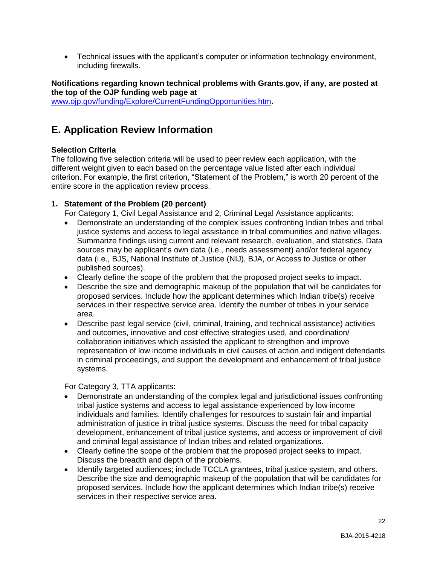Technical issues with the applicant's computer or information technology environment, including firewalls.

**Notifications regarding known technical problems with Grants.gov, if any, are posted at the top of the OJP funding web page at** [www.ojp.gov/funding/Explore/CurrentFundingOpportunities.htm](http://ojp.gov/funding/Explore/CurrentFundingOpportunities.htm)**.**

# <span id="page-21-0"></span>**E. Application Review Information**

## <span id="page-21-1"></span>**Selection Criteria**

The following five selection criteria will be used to peer review each application, with the different weight given to each based on the percentage value listed after each individual criterion. For example, the first criterion, "Statement of the Problem," is worth 20 percent of the entire score in the application review process.

## **1. Statement of the Problem (20 percent)**

For Category 1, Civil Legal Assistance and 2, Criminal Legal Assistance applicants:

- Demonstrate an understanding of the complex issues confronting Indian tribes and tribal justice systems and access to legal assistance in tribal communities and native villages. Summarize findings using current and relevant research, evaluation, and statistics. Data sources may be applicant's own data (i.e., needs assessment) and/or federal agency data (i.e., BJS, National Institute of Justice (NIJ), BJA, or Access to Justice or other published sources).
- Clearly define the scope of the problem that the proposed project seeks to impact.
- Describe the size and demographic makeup of the population that will be candidates for proposed services. Include how the applicant determines which Indian tribe(s) receive services in their respective service area. Identify the number of tribes in your service area.
- Describe past legal service (civil, criminal, training, and technical assistance) activities and outcomes, innovative and cost effective strategies used, and coordination/ collaboration initiatives which assisted the applicant to strengthen and improve representation of low income individuals in civil causes of action and indigent defendants in criminal proceedings, and support the development and enhancement of tribal justice systems.

For Category 3, TTA applicants:

- Demonstrate an understanding of the complex legal and jurisdictional issues confronting tribal justice systems and access to legal assistance experienced by low income individuals and families. Identify challenges for resources to sustain fair and impartial administration of justice in tribal justice systems. Discuss the need for tribal capacity development, enhancement of tribal justice systems, and access or improvement of civil and criminal legal assistance of Indian tribes and related organizations.
- Clearly define the scope of the problem that the proposed project seeks to impact. Discuss the breadth and depth of the problems.
- Identify targeted audiences; include TCCLA grantees, tribal justice system, and others. Describe the size and demographic makeup of the population that will be candidates for proposed services. Include how the applicant determines which Indian tribe(s) receive services in their respective service area.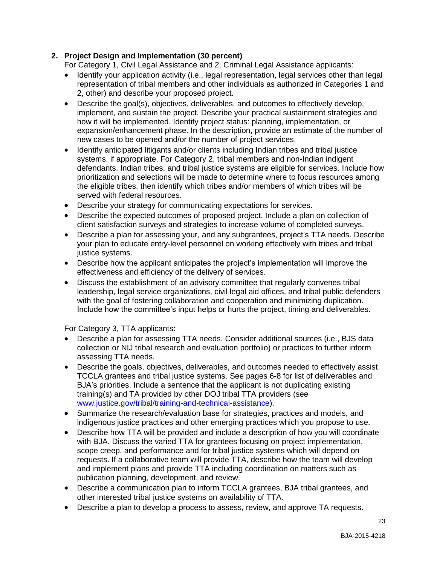## **2. Project Design and Implementation (30 percent)**

For Category 1, Civil Legal Assistance and 2, Criminal Legal Assistance applicants:

- Identify your application activity (i.e., legal representation, legal services other than legal representation of tribal members and other individuals as authorized in Categories 1 and 2, other) and describe your proposed project.
- Describe the goal(s), objectives, deliverables, and outcomes to effectively develop, implement, and sustain the project. Describe your practical sustainment strategies and how it will be implemented. Identify project status: planning, implementation, or expansion/enhancement phase. In the description, provide an estimate of the number of new cases to be opened and/or the number of project services.
- Identify anticipated litigants and/or clients including Indian tribes and tribal justice systems, if appropriate. For Category 2, tribal members and non-Indian indigent defendants, Indian tribes, and tribal justice systems are eligible for services. Include how prioritization and selections will be made to determine where to focus resources among the eligible tribes, then identify which tribes and/or members of which tribes will be served with federal resources.
- Describe your strategy for communicating expectations for services.
- Describe the expected outcomes of proposed project. Include a plan on collection of client satisfaction surveys and strategies to increase volume of completed surveys.
- Describe a plan for assessing your, and any subgrantees, project's TTA needs. Describe your plan to educate entry-level personnel on working effectively with tribes and tribal justice systems.
- Describe how the applicant anticipates the project's implementation will improve the effectiveness and efficiency of the delivery of services.
- Discuss the establishment of an advisory committee that regularly convenes tribal leadership, legal service organizations, civil legal aid offices, and tribal public defenders with the goal of fostering collaboration and cooperation and minimizing duplication. Include how the committee's input helps or hurts the project, timing and deliverables.

For Category 3, TTA applicants:

- Describe a plan for assessing TTA needs. Consider additional sources (i.e., BJS data collection or NIJ tribal research and evaluation portfolio) or practices to further inform assessing TTA needs.
- Describe the goals, objectives, deliverables, and outcomes needed to effectively assist TCCLA grantees and tribal justice systems. See pages 6-8 for list of deliverables and BJA's priorities. Include a sentence that the applicant is not duplicating existing training(s) and TA provided by other DOJ tribal TTA providers (see [www.justice.gov/tribal/training-and-technical-assistance\)](http://www.justice.gov/tribal/training-and-technical-assistance).
- Summarize the research/evaluation base for strategies, practices and models, and indigenous justice practices and other emerging practices which you propose to use.
- Describe how TTA will be provided and include a description of how you will coordinate with BJA. Discuss the varied TTA for grantees focusing on project implementation, scope creep, and performance and for tribal justice systems which will depend on requests. If a collaborative team will provide TTA, describe how the team will develop and implement plans and provide TTA including coordination on matters such as publication planning, development, and review.
- Describe a communication plan to inform TCCLA grantees, BJA tribal grantees, and other interested tribal justice systems on availability of TTA.
- Describe a plan to develop a process to assess, review, and approve TA requests.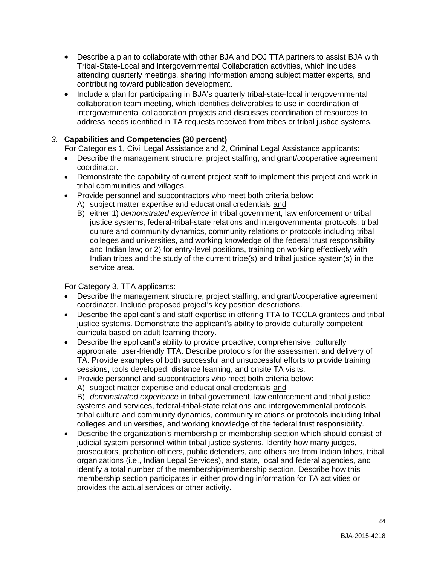- Describe a plan to collaborate with other BJA and DOJ TTA partners to assist BJA with Tribal-State-Local and Intergovernmental Collaboration activities, which includes attending quarterly meetings, sharing information among subject matter experts, and contributing toward publication development.
- Include a plan for participating in BJA's quarterly tribal-state-local intergovernmental collaboration team meeting, which identifies deliverables to use in coordination of intergovernmental collaboration projects and discusses coordination of resources to address needs identified in TA requests received from tribes or tribal justice systems.

## *3.* **Capabilities and Competencies (30 percent)**

For Categories 1, Civil Legal Assistance and 2, Criminal Legal Assistance applicants:

- Describe the management structure, project staffing, and grant/cooperative agreement coordinator.
- Demonstrate the capability of current project staff to implement this project and work in tribal communities and villages.
- Provide personnel and subcontractors who meet both criteria below:
	- A) subject matter expertise and educational credentials and
	- B) either 1) *demonstrated experience* in tribal government, law enforcement or tribal justice systems, federal-tribal-state relations and intergovernmental protocols, tribal culture and community dynamics, community relations or protocols including tribal colleges and universities, and working knowledge of the federal trust responsibility and Indian law; or 2) for entry-level positions, training on working effectively with Indian tribes and the study of the current tribe(s) and tribal justice system(s) in the service area.

For Category 3, TTA applicants:

- Describe the management structure, project staffing, and grant/cooperative agreement coordinator. Include proposed project's key position descriptions.
- Describe the applicant's and staff expertise in offering TTA to TCCLA grantees and tribal justice systems. Demonstrate the applicant's ability to provide culturally competent curricula based on adult learning theory.
- Describe the applicant's ability to provide proactive, comprehensive, culturally appropriate, user-friendly TTA. Describe protocols for the assessment and delivery of TA. Provide examples of both successful and unsuccessful efforts to provide training sessions, tools developed, distance learning, and onsite TA visits.
- Provide personnel and subcontractors who meet both criteria below:
	- A) subject matter expertise and educational credentials and

B) *demonstrated experience* in tribal government, law enforcement and tribal justice systems and services, federal-tribal-state relations and intergovernmental protocols, tribal culture and community dynamics, community relations or protocols including tribal colleges and universities, and working knowledge of the federal trust responsibility.

 Describe the organization's membership or membership section which should consist of judicial system personnel within tribal justice systems. Identify how many judges, prosecutors, probation officers, public defenders, and others are from Indian tribes, tribal organizations (i.e., Indian Legal Services), and state, local and federal agencies, and identify a total number of the membership/membership section. Describe how this membership section participates in either providing information for TA activities or provides the actual services or other activity.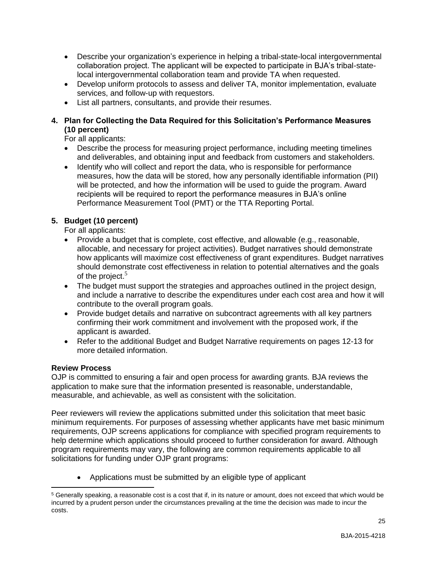- Describe your organization's experience in helping a tribal-state-local intergovernmental collaboration project. The applicant will be expected to participate in BJA's tribal-statelocal intergovernmental collaboration team and provide TA when requested.
- Develop uniform protocols to assess and deliver TA, monitor implementation, evaluate services, and follow-up with requestors.
- List all partners, consultants, and provide their resumes.

## **4. Plan for Collecting the Data Required for this Solicitation's Performance Measures (10 percent)**

For all applicants:

- Describe the process for measuring project performance, including meeting timelines and deliverables, and obtaining input and feedback from customers and stakeholders.
- Identify who will collect and report the data, who is responsible for performance measures, how the data will be stored, how any personally identifiable information (PII) will be protected, and how the information will be used to guide the program. Award recipients will be required to report the performance measures in BJA's online Performance Measurement Tool (PMT) or the TTA Reporting Portal.

## **5. Budget (10 percent)**

For all applicants:

- Provide a budget that is complete, cost effective, and allowable (e.g., reasonable, allocable, and necessary for project activities). Budget narratives should demonstrate how applicants will maximize cost effectiveness of grant expenditures. Budget narratives should demonstrate cost effectiveness in relation to potential alternatives and the goals of the project.<sup>5</sup>
- The budget must support the strategies and approaches outlined in the project design, and include a narrative to describe the expenditures under each cost area and how it will contribute to the overall program goals.
- Provide budget details and narrative on subcontract agreements with all key partners confirming their work commitment and involvement with the proposed work, if the applicant is awarded.
- Refer to the additional Budget and Budget Narrative requirements on pages 12-13 for more detailed information.

## <span id="page-24-0"></span>**Review Process**

 $\overline{a}$ 

OJP is committed to ensuring a fair and open process for awarding grants. BJA reviews the application to make sure that the information presented is reasonable, understandable, measurable, and achievable, as well as consistent with the solicitation.

Peer reviewers will review the applications submitted under this solicitation that meet basic minimum requirements. For purposes of assessing whether applicants have met basic minimum requirements, OJP screens applications for compliance with specified program requirements to help determine which applications should proceed to further consideration for award. Although program requirements may vary, the following are common requirements applicable to all solicitations for funding under OJP grant programs:

• Applications must be submitted by an eligible type of applicant

<sup>5</sup> Generally speaking, a reasonable cost is a cost that if, in its nature or amount, does not exceed that which would be incurred by a prudent person under the circumstances prevailing at the time the decision was made to incur the costs.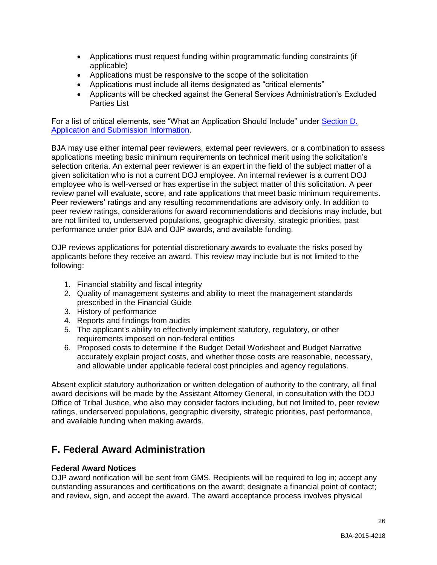- Applications must request funding within programmatic funding constraints (if applicable)
- Applications must be responsive to the scope of the solicitation
- Applications must include all items designated as "critical elements"
- Applicants will be checked against the General Services Administration's Excluded Parties List

For a list of critical elements, see "What an Application Should Include" under Section D. [Application and Submission Information.](#page-9-1)

BJA may use either internal peer reviewers, external peer reviewers, or a combination to assess applications meeting basic minimum requirements on technical merit using the solicitation's selection criteria. An external peer reviewer is an expert in the field of the subject matter of a given solicitation who is not a current DOJ employee. An internal reviewer is a current DOJ employee who is well-versed or has expertise in the subject matter of this solicitation. A peer review panel will evaluate, score, and rate applications that meet basic minimum requirements. Peer reviewers' ratings and any resulting recommendations are advisory only. In addition to peer review ratings, considerations for award recommendations and decisions may include, but are not limited to, underserved populations, geographic diversity, strategic priorities, past performance under prior BJA and OJP awards, and available funding.

OJP reviews applications for potential discretionary awards to evaluate the risks posed by applicants before they receive an award. This review may include but is not limited to the following:

- 1. Financial stability and fiscal integrity
- 2. Quality of management systems and ability to meet the management standards prescribed in the Financial Guide
- 3. History of performance
- 4. Reports and findings from audits
- 5. The applicant's ability to effectively implement statutory, regulatory, or other requirements imposed on non-federal entities
- 6. Proposed costs to determine if the Budget Detail Worksheet and Budget Narrative accurately explain project costs, and whether those costs are reasonable, necessary, and allowable under applicable federal cost principles and agency regulations.

Absent explicit statutory authorization or written delegation of authority to the contrary, all final award decisions will be made by the Assistant Attorney General, in consultation with the DOJ Office of Tribal Justice, who also may consider factors including, but not limited to, peer review ratings, underserved populations, geographic diversity, strategic priorities, past performance, and available funding when making awards.

# <span id="page-25-0"></span>**F. Federal Award Administration**

## <span id="page-25-1"></span>**Federal Award Notices**

OJP award notification will be sent from GMS. Recipients will be required to log in; accept any outstanding assurances and certifications on the award; designate a financial point of contact; and review, sign, and accept the award. The award acceptance process involves physical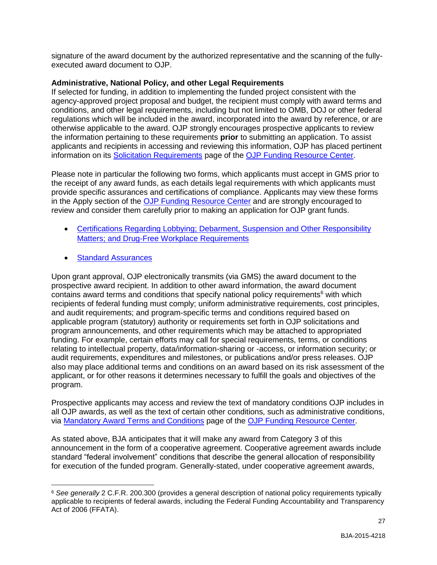signature of the award document by the authorized representative and the scanning of the fullyexecuted award document to OJP.

## <span id="page-26-0"></span>**Administrative, National Policy, and other Legal Requirements**

If selected for funding, in addition to implementing the funded project consistent with the agency-approved project proposal and budget, the recipient must comply with award terms and conditions, and other legal requirements, including but not limited to OMB, DOJ or other federal regulations which will be included in the award, incorporated into the award by reference, or are otherwise applicable to the award. OJP strongly encourages prospective applicants to review the information pertaining to these requirements **prior** to submitting an application. To assist applicants and recipients in accessing and reviewing this information, OJP has placed pertinent information on its [Solicitation Requirements](http://ojp.gov/funding/Explore/SolicitationRequirements/index.htm) page of the [OJP Funding Resource Center.](http://ojp.gov/funding/index.htm)

Please note in particular the following two forms, which applicants must accept in GMS prior to the receipt of any award funds, as each details legal requirements with which applicants must provide specific assurances and certifications of compliance. Applicants may view these forms in the Apply section of the [OJP Funding Resource Center](http://ojp.gov/funding/index.htm) and are strongly encouraged to review and consider them carefully prior to making an application for OJP grant funds.

- Certifications Regarding Lobbying; Debarment, Suspension and Other Responsibility [Matters; and Drug-Free Workplace Requirements](http://ojp.gov/funding/Apply/Forms.htm)
- [Standard Assurances](http://ojp.gov/funding/Apply/Forms.htm)

 $\overline{a}$ 

Upon grant approval, OJP electronically transmits (via GMS) the award document to the prospective award recipient. In addition to other award information, the award document contains award terms and conditions that specify national policy requirements<sup>6</sup> with which recipients of federal funding must comply; uniform administrative requirements, cost principles, and audit requirements; and program-specific terms and conditions required based on applicable program (statutory) authority or requirements set forth in OJP solicitations and program announcements, and other requirements which may be attached to appropriated funding. For example, certain efforts may call for special requirements, terms, or conditions relating to intellectual property, data/information-sharing or -access, or information security; or audit requirements, expenditures and milestones, or publications and/or press releases. OJP also may place additional terms and conditions on an award based on its risk assessment of the applicant, or for other reasons it determines necessary to fulfill the goals and objectives of the program.

Prospective applicants may access and review the text of mandatory conditions OJP includes in all OJP awards, as well as the text of certain other conditions, such as administrative conditions, via [Mandatory Award Terms and Conditions](http://ojp.gov/funding/Explore/SolicitationRequirements/MandatoryTermsConditions.htm) page of the [OJP Funding Resource Center.](http://ojp.gov/funding/index.htm)

As stated above, BJA anticipates that it will make any award from Category 3 of this announcement in the form of a cooperative agreement. Cooperative agreement awards include standard "federal involvement" conditions that describe the general allocation of responsibility for execution of the funded program. Generally-stated, under cooperative agreement awards,

<sup>6</sup> *See generally* 2 C.F.R. 200.300 (provides a general description of national policy requirements typically applicable to recipients of federal awards, including the Federal Funding Accountability and Transparency Act of 2006 (FFATA).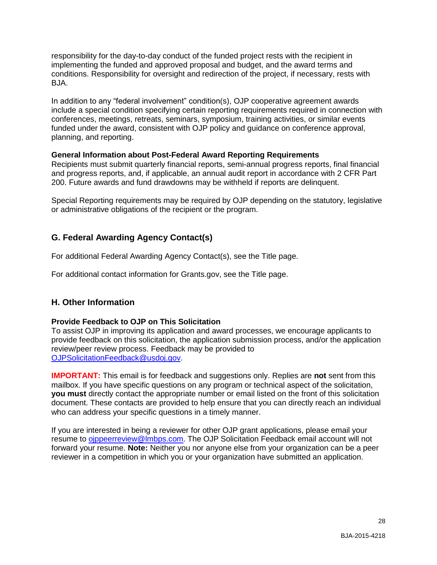responsibility for the day-to-day conduct of the funded project rests with the recipient in implementing the funded and approved proposal and budget, and the award terms and conditions. Responsibility for oversight and redirection of the project, if necessary, rests with BJA.

In addition to any "federal involvement" condition(s), OJP cooperative agreement awards include a special condition specifying certain reporting requirements required in connection with conferences, meetings, retreats, seminars, symposium, training activities, or similar events funded under the award, consistent with OJP policy and guidance on conference approval, planning, and reporting.

## <span id="page-27-0"></span>**General Information about Post-Federal Award Reporting Requirements**

Recipients must submit quarterly financial reports, semi-annual progress reports, final financial and progress reports, and, if applicable, an annual audit report in accordance with 2 CFR Part 200. Future awards and fund drawdowns may be withheld if reports are delinquent.

Special Reporting requirements may be required by OJP depending on the statutory, legislative or administrative obligations of the recipient or the program.

## <span id="page-27-1"></span>**G. Federal Awarding Agency Contact(s)**

For additional Federal Awarding Agency Contact(s), see the Title page.

For additional contact information for Grants.gov, see the Title page.

## <span id="page-27-2"></span>**H. Other Information**

## <span id="page-27-3"></span>**Provide Feedback to OJP on This Solicitation**

To assist OJP in improving its application and award processes, we encourage applicants to provide feedback on this solicitation, the application submission process, and/or the application review/peer review process. Feedback may be provided to [OJPSolicitationFeedback@usdoj.gov.](mailto:OJPSolicitationFeedback@usdoj.gov)

**IMPORTANT:** This email is for feedback and suggestions only. Replies are **not** sent from this mailbox. If you have specific questions on any program or technical aspect of the solicitation, **you must** directly contact the appropriate number or email listed on the front of this solicitation document. These contacts are provided to help ensure that you can directly reach an individual who can address your specific questions in a timely manner.

If you are interested in being a reviewer for other OJP grant applications, please email your resume to [ojppeerreview@lmbps.com.](mailto:ojppeerreview@lmbps.com) The OJP Solicitation Feedback email account will not forward your resume. **Note:** Neither you nor anyone else from your organization can be a peer reviewer in a competition in which you or your organization have submitted an application.

28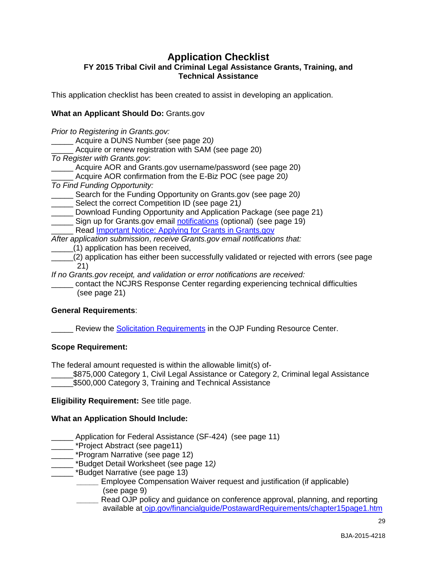## **Application Checklist**

## <span id="page-28-0"></span>**FY 2015 Tribal Civil and Criminal Legal Assistance Grants, Training, and Technical Assistance**

This application checklist has been created to assist in developing an application.

## **What an Applicant Should Do:** Grants.gov

*Prior to Registering in Grants.gov:* \_\_\_\_\_ Acquire a DUNS Number (see page 20*)* Acquire or renew registration with SAM (see page 20) *To Register with Grants.gov*: Acquire AOR and Grants.gov username/password (see page 20) \_\_\_\_\_ Acquire AOR confirmation from the E-Biz POC (see page 20*) To Find Funding Opportunity:* \_\_\_\_\_ Search for the Funding Opportunity on Grants.gov (see page 20*)* \_\_\_\_\_ Select the correct Competition ID (see page 21*)* \_\_\_\_\_ Download Funding Opportunity and Application Package (see page 21) Sign up for Grants.gov email [notifications](http://www.grants.gov/web/grants/manage-subscriptions.html) (optional) (see page 19) \_ Read [Important Notice: Applying for Grants in Grants.gov](http://ojp.gov/funding/Apply/Grants-govInfo.htm) *After application submission*, *receive Grants.gov email notifications that:* \_\_\_\_\_(1) application has been received, \_\_\_\_\_(2) application has either been successfully validated or rejected with errors (see page 21)

*If no Grants.gov receipt, and validation or error notifications are received:*

\_\_\_\_\_ contact the NCJRS Response Center regarding experiencing technical difficulties (see page 21)

#### **General Requirements**:

Review the Solicitation [Requirements](http://ojp.gov/funding/Explore/SolicitationRequirements/index.htm) in the OJP Funding Resource Center.

#### **Scope Requirement:**

The federal amount requested is within the allowable limit(s) of-

\$875,000 Category 1, Civil Legal Assistance or Category 2, Criminal legal Assistance \$500,000 Category 3, Training and Technical Assistance

**Eligibility Requirement:** See title page.

#### **What an Application Should Include:**

\_\_\_\_\_ Application for Federal Assistance (SF-424) (see page 11)

\_ \*Project Abstract (see page11)

- \_\_\_\_\_ \*Program Narrative (see page 12)
- \_\_\_\_\_ \*Budget Detail Worksheet (see page 12*)*
- \_\_\_\_\_ \*Budget Narrative (see page 13)
	- *\_\_\_\_\_* Employee Compensation Waiver request and justification (if applicable) (see page 9)
	- *\_\_\_\_\_* Read OJP policy and guidance on conference approval, planning, and reporting available at [ojp.gov/financialguide/PostawardRequirements/chapter15page1.htm](http://ojp.gov/financialguide/PostawardRequirements/chapter15page1.htm)